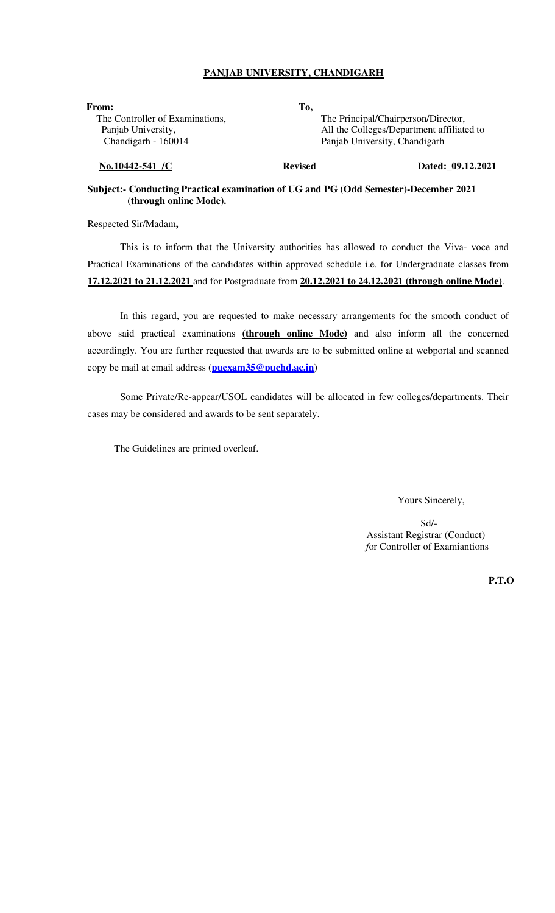## **PANJAB UNIVERSITY, CHANDIGARH**

| <b>From:</b>                    | Tо,                                 |                                           |  |
|---------------------------------|-------------------------------------|-------------------------------------------|--|
| The Controller of Examinations, | The Principal/Chairperson/Director, |                                           |  |
| Panjab University,              |                                     | All the Colleges/Department affiliated to |  |
| Chandigarh - 160014             | Panjab University, Chandigarh       |                                           |  |
| No.10442-541 /C                 | <b>Revised</b>                      | Dated: 09.12.2021                         |  |

#### **Subject:- Conducting Practical examination of UG and PG (Odd Semester)-December 2021 (through online Mode).**

Respected Sir/Madam**,** 

This is to inform that the University authorities has allowed to conduct the Viva- voce and Practical Examinations of the candidates within approved schedule i.e. for Undergraduate classes from **17.12.2021 to 21.12.2021** and for Postgraduate from **20.12.2021 to 24.12.2021 (through online Mode)**.

In this regard, you are requested to make necessary arrangements for the smooth conduct of above said practical examinations **(through online Mode)** and also inform all the concerned accordingly. You are further requested that awards are to be submitted online at webportal and scanned copy be mail at email address **(puexam35@puchd.ac.in)** 

Some Private/Re-appear/USOL candidates will be allocated in few colleges/departments. Their cases may be considered and awards to be sent separately.

The Guidelines are printed overleaf.

Yours Sincerely,

 Sd/- Assistant Registrar (Conduct) *f*or Controller of Examiantions

**P.T.O**